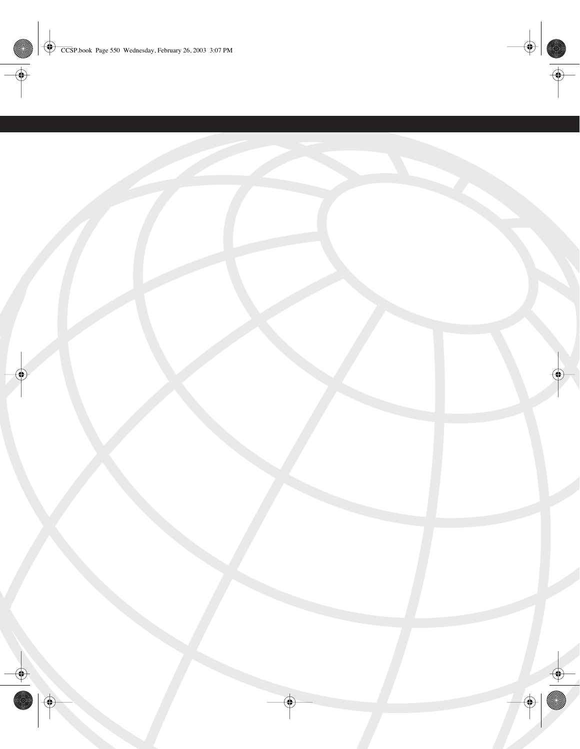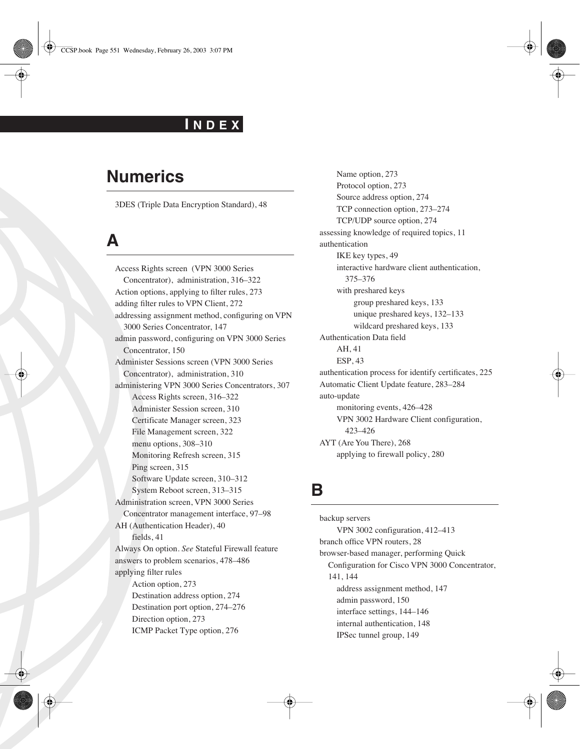#### **I N D E X**

### **Numerics**

3DES (Triple Data Encryption Standard), 48

#### **A**

Access Rights screen (VPN 3000 Series Concentrator), administration, 316–322 Action options, applying to filter rules, 273 adding filter rules to VPN Client, 272 addressing assignment method, configuring on VPN 3000 Series Concentrator, 147 admin password, configuring on VPN 3000 Series Concentrator, 150 Administer Sessions screen (VPN 3000 Series Concentrator), administration, 310 administering VPN 3000 Series Concentrators, 307 Access Rights screen, 316–322 Administer Session screen, 310 Certificate Manager screen, 323 File Management screen, 322 menu options, 308–310 Monitoring Refresh screen, 315 Ping screen, 315 Software Update screen, 310–312 System Reboot screen, 313–315 Administration screen, VPN 3000 Series Concentrator management interface, 97–98 AH (Authentication Header), 40 fields, 41 Always On option. *See* Stateful Firewall feature answers to problem scenarios, 478–486 applying filter rules Action option, 273 Destination address option, 274 Destination port option, 274–276 Direction option, 273 ICMP Packet Type option, 276

Name option, 273 Protocol option, 273 Source address option, 274 TCP connection option, 273–274 TCP/UDP source option, 274 assessing knowledge of required topics, 11 authentication IKE key types, 49 interactive hardware client authentication, 375–376 with preshared keys group preshared keys, 133 unique preshared keys, 132–133 wildcard preshared keys, 133 Authentication Data field AH, 41 ESP, 43 authentication process for identify certificates, 225 Automatic Client Update feature, 283–284 auto-update monitoring events, 426–428 VPN 3002 Hardware Client configuration, 423–426 AYT (Are You There), 268 applying to firewall policy, 280

#### **B**

backup servers VPN 3002 configuration, 412–413 branch office VPN routers, 28 browser-based manager, performing Quick Configuration for Cisco VPN 3000 Concentrator, 141, 144 address assignment method, 147 admin password, 150 interface settings, 144–146 internal authentication, 148 IPSec tunnel group, 149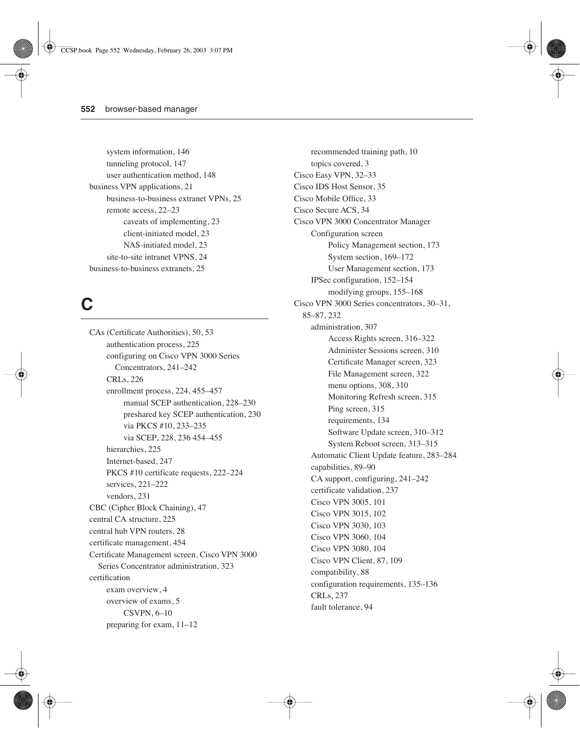system information, 146 tunneling protocol, 147 user authentication method, 148 business VPN applications, 21 business-to-business extranet VPNs, 25 remote access, 22–23 caveats of implementing, 23 client-initiated model, 23 NAS-initiated model, 23 site-to-site intranet VPNS, 24 business-to-business extranets, 25

# **C**

CAs (Certificate Authorities), 50, 53 authentication process, 225 configuring on Cisco VPN 3000 Series Concentrators, 241–242 CRLs, 226 enrollment process, 224, 455–457 manual SCEP authentication, 228–230 preshared key SCEP authentication, 230 via PKCS #10, 233–235 via SCEP, 228, 236 454–455 hierarchies, 225 Internet-based, 247 PKCS #10 certificate requests, 222–224 services, 221–222 vendors, 231 CBC (Cipher Block Chaining), 47 central CA structure, 225 central hub VPN routers, 28 certificate management, 454 Certificate Management screen, Cisco VPN 3000 Series Concentrator administration, 323 certification exam overview, 4 overview of exams, 5 CSVPN, 6–10 preparing for exam, 11–12

recommended training path, 10 topics covered, 3 Cisco Easy VPN, 32–33 Cisco IDS Host Sensor, 35 Cisco Mobile Office, 33 Cisco Secure ACS, 34 Cisco VPN 3000 Concentrator Manager Configuration screen Policy Management section, 173 System section, 169–172 User Management section, 173 IPSec configuration, 152–154 modifying groups, 155–168 Cisco VPN 3000 Series concentrators, 30–31, 85–87, 232 administration, 307 Access Rights screen, 316–322 Administer Sessions screen, 310 Certificate Manager screen, 323 File Management screen, 322 menu options, 308, 310 Monitoring Refresh screen, 315 Ping screen, 315 requirements, 134 Software Update screen, 310–312 System Reboot screen, 313–315 Automatic Client Update feature, 283–284 capabilities, 89–90 CA support, configuring, 241–242 certificate validation, 237 Cisco VPN 3005, 101 Cisco VPN 3015, 102 Cisco VPN 3030, 103 Cisco VPN 3060, 104 Cisco VPN 3080, 104 Cisco VPN Client, 87, 109 compatibility, 88 configuration requirements, 135–136 CRLs, 237 fault tolerance, 94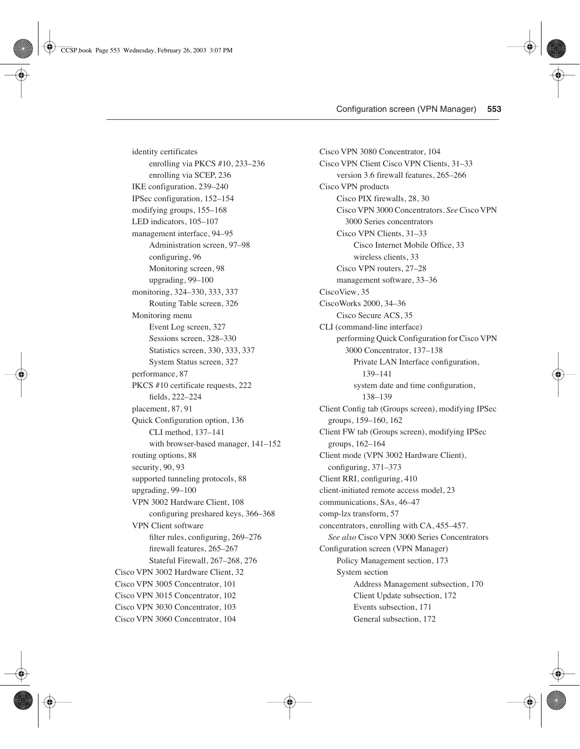identity certificates enrolling via PKCS #10, 233–236 enrolling via SCEP, 236 IKE configuration, 239–240 IPSec configuration, 152–154 modifying groups, 155–168 LED indicators, 105–107 management interface, 94–95 Administration screen, 97–98 configuring, 96 Monitoring screen, 98 upgrading, 99–100 monitoring, 324–330, 333, 337 Routing Table screen, 326 Monitoring menu Event Log screen, 327 Sessions screen, 328–330 Statistics screen, 330, 333, 337 System Status screen, 327 performance, 87 PKCS #10 certificate requests, 222 fields, 222–224 placement, 87, 91 Quick Configuration option, 136 CLI method, 137–141 with browser-based manager, 141–152 routing options, 88 security, 90, 93 supported tunneling protocols, 88 upgrading, 99–100 VPN 3002 Hardware Client, 108 configuring preshared keys, 366–368 VPN Client software filter rules, configuring, 269–276 firewall features, 265–267 Stateful Firewall, 267–268, 276 Cisco VPN 3002 Hardware Client, 32 Cisco VPN 3005 Concentrator, 101 Cisco VPN 3015 Concentrator, 102 Cisco VPN 3030 Concentrator, 103 Cisco VPN 3060 Concentrator, 104

Cisco VPN 3080 Concentrator, 104 Cisco VPN Client Cisco VPN Clients, 31–33 version 3.6 firewall features, 265–266 Cisco VPN products Cisco PIX firewalls, 28, 30 Cisco VPN 3000 Concentrators. *See* Cisco VPN 3000 Series concentrators Cisco VPN Clients, 31–33 Cisco Internet Mobile Office, 33 wireless clients, 33 Cisco VPN routers, 27–28 management software, 33–36 CiscoView, 35 CiscoWorks 2000, 34–36 Cisco Secure ACS, 35 CLI (command-line interface) performing Quick Configuration for Cisco VPN 3000 Concentrator, 137–138 Private LAN Interface configuration, 139–141 system date and time configuration, 138–139 Client Config tab (Groups screen), modifying IPSec groups, 159–160, 162 Client FW tab (Groups screen), modifying IPSec groups, 162–164 Client mode (VPN 3002 Hardware Client), configuring, 371–373 Client RRI, configuring, 410 client-initiated remote access model, 23 communications, SAs, 46–47 comp-lzs transform, 57 concentrators, enrolling with CA, 455–457. *See also* Cisco VPN 3000 Series Concentrators Configuration screen (VPN Manager) Policy Management section, 173 System section Address Management subsection, 170 Client Update subsection, 172 Events subsection, 171 General subsection, 172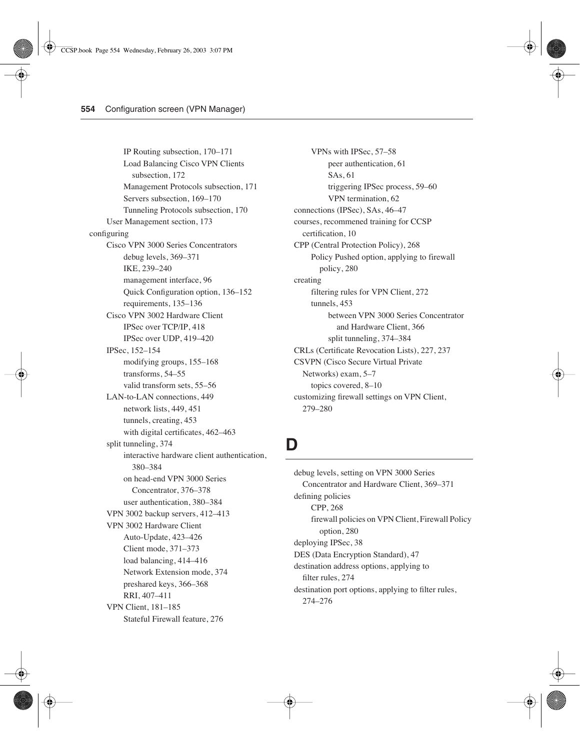IP Routing subsection, 170–171 Load Balancing Cisco VPN Clients subsection, 172 Management Protocols subsection, 171 Servers subsection, 169–170 Tunneling Protocols subsection, 170 User Management section, 173 configuring Cisco VPN 3000 Series Concentrators debug levels, 369–371 IKE, 239–240 management interface, 96 Quick Configuration option, 136–152 requirements, 135–136 Cisco VPN 3002 Hardware Client IPSec over TCP/IP, 418 IPSec over UDP, 419–420 IPSec, 152–154 modifying groups, 155–168 transforms, 54–55 valid transform sets, 55–56 LAN-to-LAN connections, 449 network lists, 449, 451 tunnels, creating, 453 with digital certificates, 462–463 split tunneling, 374 interactive hardware client authentication, 380–384 on head-end VPN 3000 Series Concentrator, 376–378 user authentication, 380–384 VPN 3002 backup servers, 412–413 VPN 3002 Hardware Client Auto-Update, 423–426 Client mode, 371–373 load balancing, 414–416 Network Extension mode, 374 preshared keys, 366–368 RRI, 407–411 VPN Client, 181–185 Stateful Firewall feature, 276

VPNs with IPSec, 57–58 peer authentication, 61 SAs, 61 triggering IPSec process, 59–60 VPN termination, 62 connections (IPSec), SAs, 46–47 courses, recommened training for CCSP certification, 10 CPP (Central Protection Policy), 268 Policy Pushed option, applying to firewall policy, 280 creating filtering rules for VPN Client, 272 tunnels, 453 between VPN 3000 Series Concentrator and Hardware Client, 366 split tunneling, 374–384 CRLs (Certificate Revocation Lists), 227, 237 CSVPN (Cisco Secure Virtual Private Networks) exam, 5–7 topics covered, 8–10 customizing firewall settings on VPN Client, 279–280

#### **D**

debug levels, setting on VPN 3000 Series Concentrator and Hardware Client, 369–371 defining policies CPP, 268 firewall policies on VPN Client, Firewall Policy option, 280 deploying IPSec, 38 DES (Data Encryption Standard), 47 destination address options, applying to filter rules, 274 destination port options, applying to filter rules, 274–276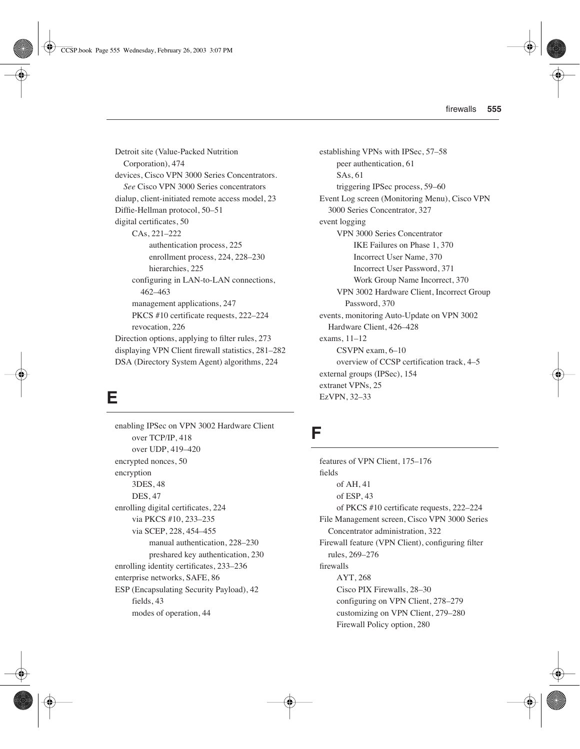Detroit site (Value-Packed Nutrition Corporation), 474 devices, Cisco VPN 3000 Series Concentrators. *See* Cisco VPN 3000 Series concentrators dialup, client-initiated remote access model, 23 Diffie-Hellman protocol, 50–51 digital certificates, 50 CAs, 221–222 authentication process, 225 enrollment process, 224, 228–230 hierarchies, 225 configuring in LAN-to-LAN connections, 462–463 management applications, 247 PKCS #10 certificate requests, 222–224 revocation, 226 Direction options, applying to filter rules, 273 displaying VPN Client firewall statistics, 281–282 DSA (Directory System Agent) algorithms, 224

## **E**

enabling IPSec on VPN 3002 Hardware Client over TCP/IP, 418 over UDP, 419–420 encrypted nonces, 50 encryption 3DES, 48 DES, 47 enrolling digital certificates, 224 via PKCS #10, 233–235 via SCEP, 228, 454–455 manual authentication, 228–230 preshared key authentication, 230 enrolling identity certificates, 233–236 enterprise networks, SAFE, 86 ESP (Encapsulating Security Payload), 42 fields, 43 modes of operation, 44

establishing VPNs with IPSec, 57–58 peer authentication, 61 SAs, 61 triggering IPSec process, 59–60 Event Log screen (Monitoring Menu), Cisco VPN 3000 Series Concentrator, 327 event logging VPN 3000 Series Concentrator IKE Failures on Phase 1, 370 Incorrect User Name, 370 Incorrect User Password, 371 Work Group Name Incorrect, 370 VPN 3002 Hardware Client, Incorrect Group Password, 370 events, monitoring Auto-Update on VPN 3002 Hardware Client, 426–428 exams, 11–12 CSVPN exam, 6–10 overview of CCSP certification track, 4–5 external groups (IPSec), 154 extranet VPNs, 25 EzVPN, 32–33

#### **F**

features of VPN Client, 175–176 fields of AH, 41 of ESP, 43 of PKCS #10 certificate requests, 222–224 File Management screen, Cisco VPN 3000 Series Concentrator administration, 322 Firewall feature (VPN Client), configuring filter rules, 269–276 firewalls AYT, 268 Cisco PIX Firewalls, 28–30 configuring on VPN Client, 278–279 customizing on VPN Client, 279–280 Firewall Policy option, 280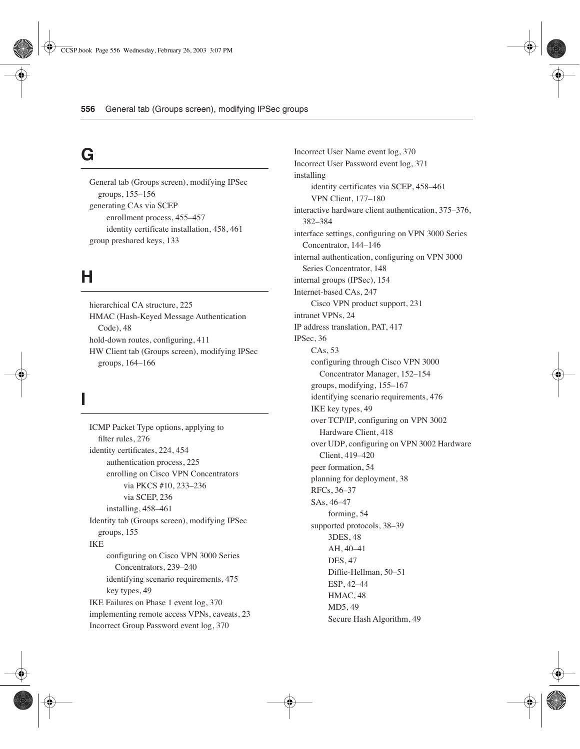### **G**

General tab (Groups screen), modifying IPSec groups, 155–156 generating CAs via SCEP enrollment process, 455–457 identity certificate installation, 458, 461 group preshared keys, 133

### **H**

hierarchical CA structure, 225 HMAC (Hash-Keyed Message Authentication Code), 48 hold-down routes, configuring, 411 HW Client tab (Groups screen), modifying IPSec groups, 164–166

**I**

ICMP Packet Type options, applying to filter rules, 276 identity certificates, 224, 454 authentication process, 225 enrolling on Cisco VPN Concentrators via PKCS #10, 233–236 via SCEP, 236 installing, 458–461 Identity tab (Groups screen), modifying IPSec groups, 155 IKE configuring on Cisco VPN 3000 Series Concentrators, 239–240 identifying scenario requirements, 475 key types, 49 IKE Failures on Phase 1 event log, 370 implementing remote access VPNs, caveats, 23 Incorrect Group Password event log, 370

Incorrect User Name event log, 370 Incorrect User Password event log, 371 installing identity certificates via SCEP, 458–461 VPN Client, 177–180 interactive hardware client authentication, 375–376, 382–384 interface settings, configuring on VPN 3000 Series Concentrator, 144–146 internal authentication, configuring on VPN 3000 Series Concentrator, 148 internal groups (IPSec), 154 Internet-based CAs, 247 Cisco VPN product support, 231 intranet VPNs, 24 IP address translation, PAT, 417 IPSec, 36 CAs, 53 configuring through Cisco VPN 3000 Concentrator Manager, 152–154 groups, modifying, 155–167 identifying scenario requirements, 476 IKE key types, 49 over TCP/IP, configuring on VPN 3002 Hardware Client, 418 over UDP, configuring on VPN 3002 Hardware Client, 419–420 peer formation, 54 planning for deployment, 38 RFCs, 36–37 SAs, 46–47 forming, 54 supported protocols, 38–39 3DES, 48 AH, 40–41 DES, 47 Diffie-Hellman, 50–51 ESP, 42–44 HMAC, 48 MD5, 49 Secure Hash Algorithm, 49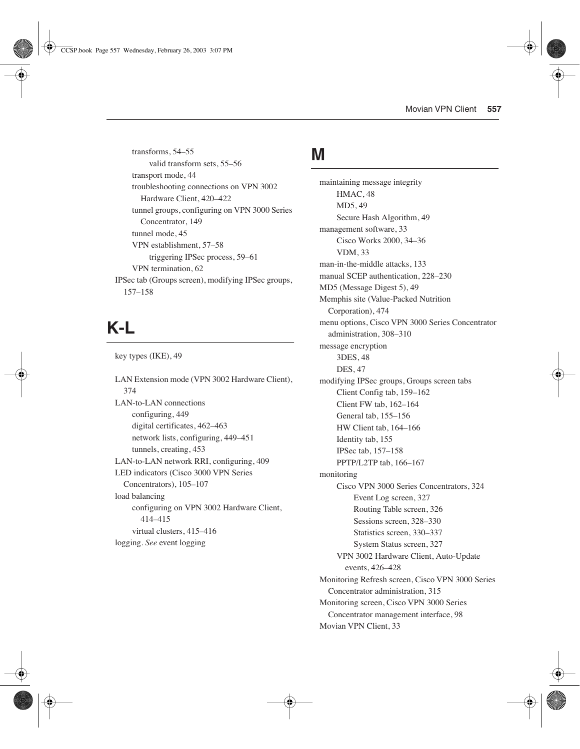transforms, 54–55 valid transform sets, 55–56 transport mode, 44 troubleshooting connections on VPN 3002 Hardware Client, 420–422 tunnel groups, configuring on VPN 3000 Series Concentrator, 149 tunnel mode, 45 VPN establishment, 57–58 triggering IPSec process, 59–61 VPN termination, 62 IPSec tab (Groups screen), modifying IPSec groups, 157–158

### **K-L**

key types (IKE), 49

LAN Extension mode (VPN 3002 Hardware Client), 374 LAN-to-LAN connections configuring, 449 digital certificates, 462–463 network lists, configuring, 449–451 tunnels, creating, 453 LAN-to-LAN network RRI, configuring, 409 LED indicators (Cisco 3000 VPN Series Concentrators), 105–107 load balancing configuring on VPN 3002 Hardware Client, 414–415 virtual clusters, 415–416 logging. *See* event logging

#### **M**

maintaining message integrity HMAC, 48 MD5, 49 Secure Hash Algorithm, 49 management software, 33 Cisco Works 2000, 34–36 VDM, 33 man-in-the-middle attacks, 133 manual SCEP authentication, 228–230 MD5 (Message Digest 5), 49 Memphis site (Value-Packed Nutrition Corporation), 474 menu options, Cisco VPN 3000 Series Concentrator administration, 308–310 message encryption 3DES, 48 DES, 47 modifying IPSec groups, Groups screen tabs Client Config tab, 159–162 Client FW tab, 162–164 General tab, 155–156 HW Client tab, 164–166 Identity tab, 155 IPSec tab, 157–158 PPTP/L2TP tab, 166–167 monitoring Cisco VPN 3000 Series Concentrators, 324 Event Log screen, 327 Routing Table screen, 326 Sessions screen, 328–330 Statistics screen, 330–337 System Status screen, 327 VPN 3002 Hardware Client, Auto-Update events, 426–428 Monitoring Refresh screen, Cisco VPN 3000 Series Concentrator administration, 315 Monitoring screen, Cisco VPN 3000 Series Concentrator management interface, 98 Movian VPN Client, 33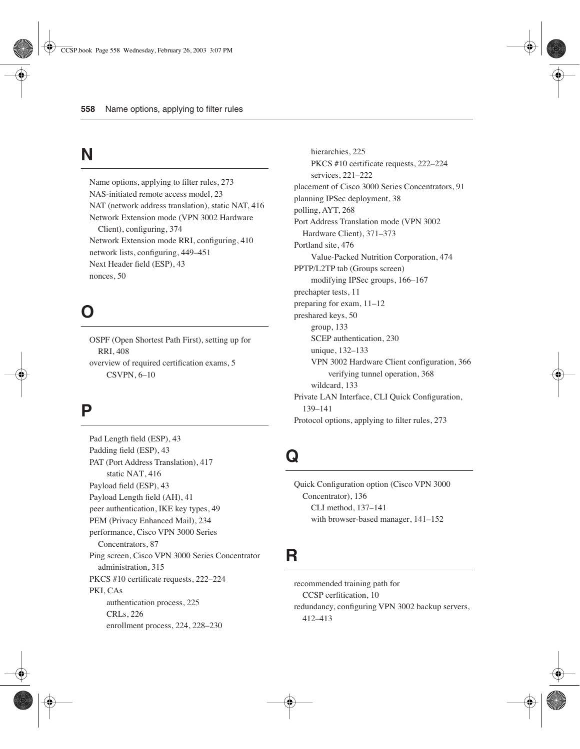### **N**

Name options, applying to filter rules, 273 NAS-initiated remote access model, 23 NAT (network address translation), static NAT, 416 Network Extension mode (VPN 3002 Hardware Client), configuring, 374 Network Extension mode RRI, configuring, 410 network lists, configuring, 449–451 Next Header field (ESP), 43 nonces, 50

### **O**

OSPF (Open Shortest Path First), setting up for RRI, 408 overview of required certification exams, 5 CSVPN, 6–10

#### **P**

Pad Length field (ESP), 43 Padding field (ESP), 43 PAT (Port Address Translation), 417 static NAT, 416 Payload field (ESP), 43 Payload Length field (AH), 41 peer authentication, IKE key types, 49 PEM (Privacy Enhanced Mail), 234 performance, Cisco VPN 3000 Series Concentrators, 87 Ping screen, Cisco VPN 3000 Series Concentrator administration, 315 PKCS #10 certificate requests, 222–224 PKI, CAs authentication process, 225 CRLs, 226 enrollment process, 224, 228–230

hierarchies, 225 PKCS #10 certificate requests, 222–224 services, 221–222 placement of Cisco 3000 Series Concentrators, 91 planning IPSec deployment, 38 polling, AYT, 268 Port Address Translation mode (VPN 3002 Hardware Client), 371–373 Portland site, 476 Value-Packed Nutrition Corporation, 474 PPTP/L2TP tab (Groups screen) modifying IPSec groups, 166–167 prechapter tests, 11 preparing for exam, 11–12 preshared keys, 50 group, 133 SCEP authentication, 230 unique, 132–133 VPN 3002 Hardware Client configuration, 366 verifying tunnel operation, 368 wildcard, 133 Private LAN Interface, CLI Quick Configuration, 139–141 Protocol options, applying to filter rules, 273

### **Q**

Quick Configuration option (Cisco VPN 3000 Concentrator), 136 CLI method, 137–141 with browser-based manager, 141–152

#### **R**

recommended training path for CCSP cerfitication, 10 redundancy, configuring VPN 3002 backup servers, 412–413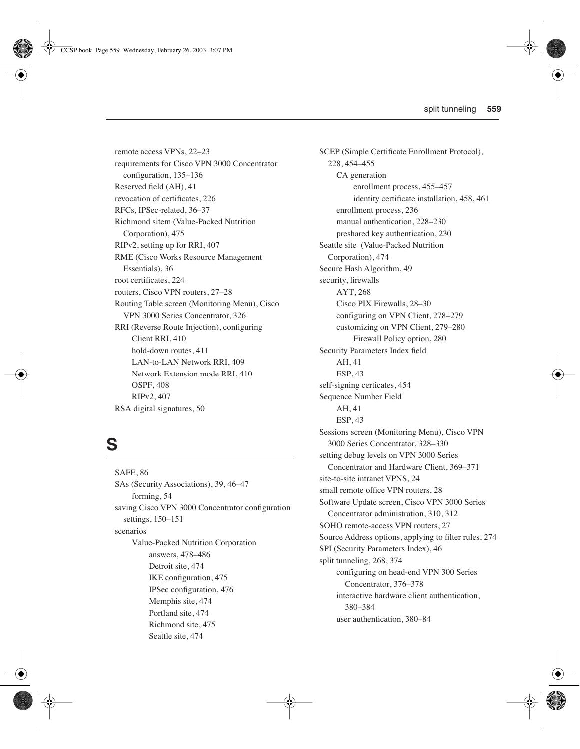remote access VPNs, 22–23 requirements for Cisco VPN 3000 Concentrator configuration, 135–136 Reserved field (AH), 41 revocation of certificates, 226 RFCs, IPSec-related, 36–37 Richmond sitem (Value-Packed Nutrition Corporation), 475 RIPv2, setting up for RRI, 407 RME (Cisco Works Resource Management Essentials), 36 root certificates, 224 routers, Cisco VPN routers, 27–28 Routing Table screen (Monitoring Menu), Cisco VPN 3000 Series Concentrator, 326 RRI (Reverse Route Injection), configuring Client RRI, 410 hold-down routes, 411 LAN-to-LAN Network RRI, 409 Network Extension mode RRI, 410 OSPF, 408 RIPv2, 407 RSA digital signatures, 50

# **S**

SAFE, 86 SAs (Security Associations), 39, 46–47 forming, 54 saving Cisco VPN 3000 Concentrator configuration settings, 150–151 scenarios Value-Packed Nutrition Corporation answers, 478–486 Detroit site, 474 IKE configuration, 475 IPSec configuration, 476 Memphis site, 474 Portland site, 474 Richmond site, 475 Seattle site, 474

SCEP (Simple Certificate Enrollment Protocol), 228, 454–455 CA generation enrollment process, 455–457 identity certificate installation, 458, 461 enrollment process, 236 manual authentication, 228–230 preshared key authentication, 230 Seattle site (Value-Packed Nutrition Corporation), 474 Secure Hash Algorithm, 49 security, firewalls AYT, 268 Cisco PIX Firewalls, 28–30 configuring on VPN Client, 278–279 customizing on VPN Client, 279–280 Firewall Policy option, 280 Security Parameters Index field AH, 41 ESP, 43 self-signing certicates, 454 Sequence Number Field AH, 41 ESP, 43 Sessions screen (Monitoring Menu), Cisco VPN 3000 Series Concentrator, 328–330 setting debug levels on VPN 3000 Series Concentrator and Hardware Client, 369–371 site-to-site intranet VPNS, 24 small remote office VPN routers, 28 Software Update screen, Cisco VPN 3000 Series Concentrator administration, 310, 312 SOHO remote-access VPN routers, 27 Source Address options, applying to filter rules, 274 SPI (Security Parameters Index), 46 split tunneling, 268, 374 configuring on head-end VPN 300 Series Concentrator, 376–378 interactive hardware client authentication, 380–384 user authentication, 380–84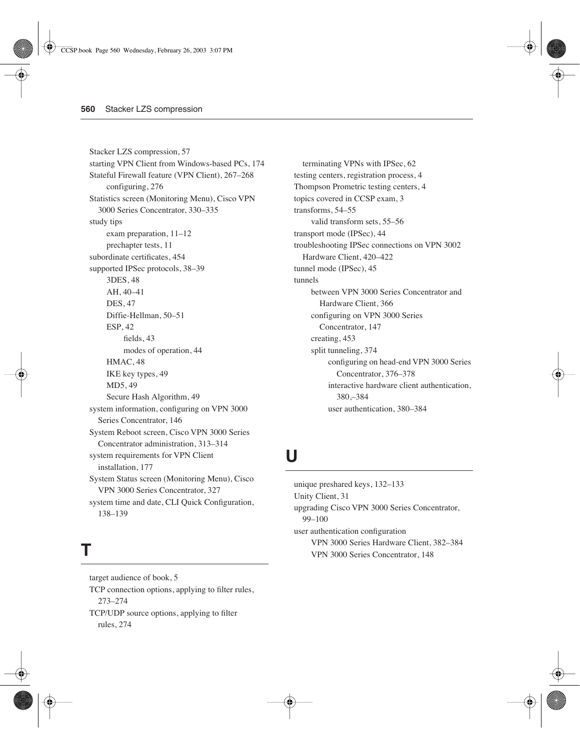Stacker LZS compression, 57 starting VPN Client from Windows-based PCs, 174 Stateful Firewall feature (VPN Client), 267–268 configuring, 276 Statistics screen (Monitoring Menu), Cisco VPN 3000 Series Concentrator, 330–335 study tips exam preparation, 11–12 prechapter tests, 11 subordinate certificates, 454 supported IPSec protocols, 38–39 3DES, 48 AH, 40–41 DES, 47 Diffie-Hellman, 50–51 ESP, 42 fields, 43 modes of operation, 44 HMAC, 48 IKE key types, 49 MD5, 49 Secure Hash Algorithm, 49 system information, configuring on VPN 3000 Series Concentrator, 146 System Reboot screen, Cisco VPN 3000 Series Concentrator administration, 313–314 system requirements for VPN Client installation, 177 System Status screen (Monitoring Menu), Cisco VPN 3000 Series Concentrator, 327 system time and date, CLI Quick Configuration, 138–139

## **T**

target audience of book, 5

TCP connection options, applying to filter rules, 273–274

TCP/UDP source options, applying to filter rules, 274

terminating VPNs with IPSec, 62 testing centers, registration process, 4 Thompson Prometric testing centers, 4 topics covered in CCSP exam, 3 transforms, 54–55 valid transform sets, 55–56 transport mode (IPSec), 44 troubleshooting IPSec connections on VPN 3002 Hardware Client, 420–422 tunnel mode (IPSec), 45 tunnels between VPN 3000 Series Concentrator and Hardware Client, 366 configuring on VPN 3000 Series Concentrator, 147 creating, 453 split tunneling, 374 configuring on head-end VPN 3000 Series Concentrator, 376–378 interactive hardware client authentication, 380,–384 user authentication, 380–384

#### **U**

unique preshared keys, 132–133 Unity Client, 31 upgrading Cisco VPN 3000 Series Concentrator, 99–100 user authentication configuration VPN 3000 Series Hardware Client, 382–384 VPN 3000 Series Concentrator, 148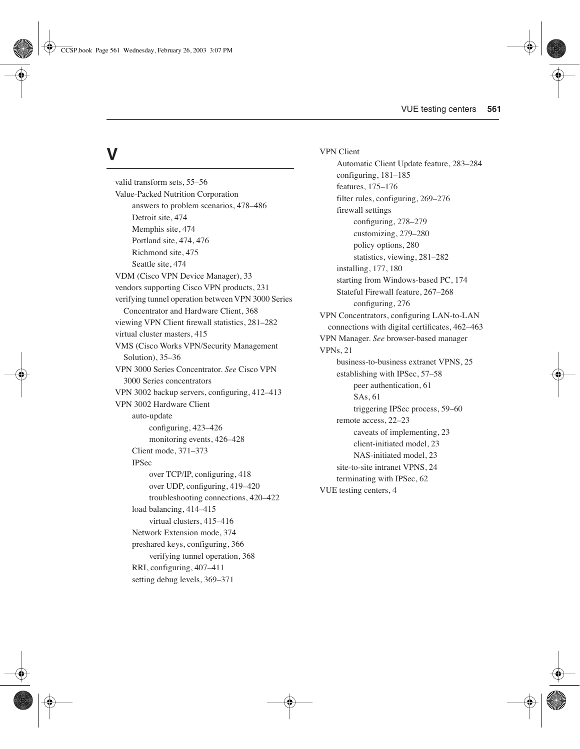## **V**

valid transform sets, 55–56 Value-Packed Nutrition Corporation answers to problem scenarios, 478–486 Detroit site, 474 Memphis site, 474 Portland site, 474, 476 Richmond site, 475 Seattle site, 474 VDM (Cisco VPN Device Manager), 33 vendors supporting Cisco VPN products, 231 verifying tunnel operation between VPN 3000 Series Concentrator and Hardware Client, 368 viewing VPN Client firewall statistics, 281–282 virtual cluster masters, 415 VMS (Cisco Works VPN/Security Management Solution), 35–36 VPN 3000 Series Concentrator. *See* Cisco VPN 3000 Series concentrators VPN 3002 backup servers, configuring, 412–413 VPN 3002 Hardware Client auto-update configuring, 423–426 monitoring events, 426–428 Client mode, 371–373 IPSec over TCP/IP, configuring, 418 over UDP, configuring, 419–420 troubleshooting connections, 420–422 load balancing, 414–415 virtual clusters, 415–416 Network Extension mode, 374 preshared keys, configuring, 366 verifying tunnel operation, 368 RRI, configuring, 407–411 setting debug levels, 369–371

VPN Client Automatic Client Update feature, 283–284 configuring, 181–185 features, 175–176 filter rules, configuring, 269–276 firewall settings configuring, 278–279 customizing, 279–280 policy options, 280 statistics, viewing, 281–282 installing, 177, 180 starting from Windows-based PC, 174 Stateful Firewall feature, 267–268 configuring, 276 VPN Concentrators, configuring LAN-to-LAN connections with digital certificates, 462–463 VPN Manager. *See* browser-based manager VPNs, 21 business-to-business extranet VPNS, 25 establishing with IPSec, 57–58 peer authentication, 61 SAs, 61 triggering IPSec process, 59–60 remote access, 22–23 caveats of implementing, 23 client-initiated model, 23 NAS-initiated model, 23 site-to-site intranet VPNS, 24 terminating with IPSec, 62 VUE testing centers, 4